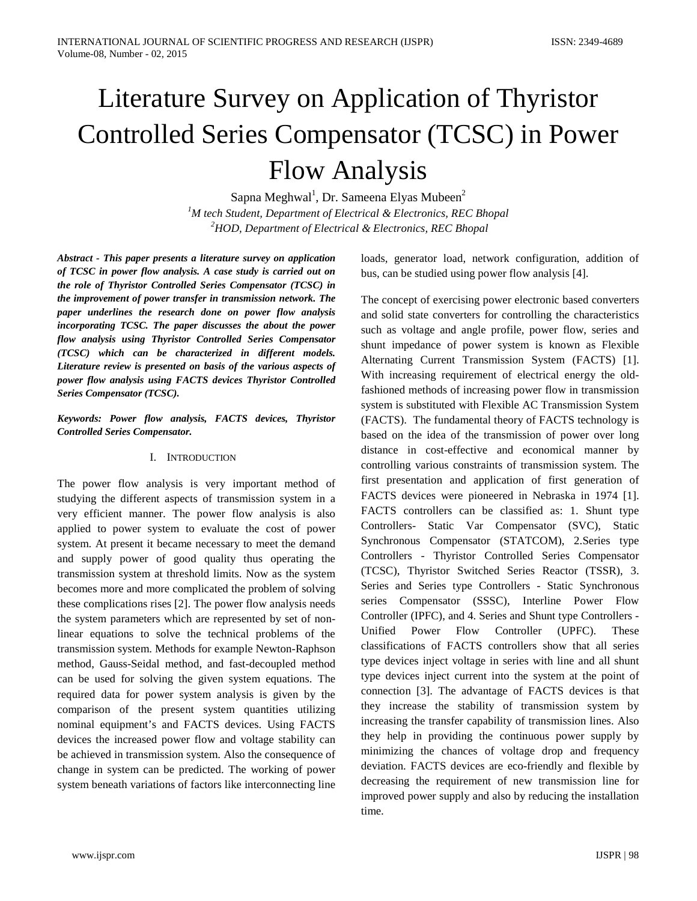# Literature Survey on Application of Thyristor Controlled Series Compensator (TCSC) in Power Flow Analysis

Sapna Meghwal<sup>1</sup>, Dr. Sameena Elyas Mubeen<sup>2</sup> *1 M tech Student, Department of Electrical & Electronics, REC Bhopal 2 HOD, Department of Electrical & Electronics, REC Bhopal*

*Abstract - This paper presents a literature survey on application of TCSC in power flow analysis. A case study is carried out on the role of Thyristor Controlled Series Compensator (TCSC) in the improvement of power transfer in transmission network. The paper underlines the research done on power flow analysis incorporating TCSC. The paper discusses the about the power flow analysis using Thyristor Controlled Series Compensator (TCSC) which can be characterized in different models. Literature review is presented on basis of the various aspects of power flow analysis using FACTS devices Thyristor Controlled Series Compensator (TCSC).*

### *Keywords: Power flow analysis, FACTS devices, Thyristor Controlled Series Compensator.*

### I. INTRODUCTION

The power flow analysis is very important method of studying the different aspects of transmission system in a very efficient manner. The power flow analysis is also applied to power system to evaluate the cost of power system. At present it became necessary to meet the demand and supply power of good quality thus operating the transmission system at threshold limits. Now as the system becomes more and more complicated the problem of solving these complications rises [2]. The power flow analysis needs the system parameters which are represented by set of nonlinear equations to solve the technical problems of the transmission system. Methods for example Newton-Raphson method, Gauss-Seidal method, and fast-decoupled method can be used for solving the given system equations. The required data for power system analysis is given by the comparison of the present system quantities utilizing nominal equipment's and FACTS devices. Using FACTS devices the increased power flow and voltage stability can be achieved in transmission system. Also the consequence of change in system can be predicted. The working of power system beneath variations of factors like interconnecting line loads, generator load, network configuration, addition of bus, can be studied using power flow analysis [4].

The concept of exercising power electronic based converters and solid state converters for controlling the characteristics such as voltage and angle profile, power flow, series and shunt impedance of power system is known as Flexible Alternating Current Transmission System (FACTS) [1]. With increasing requirement of electrical energy the oldfashioned methods of increasing power flow in transmission system is substituted with Flexible AC Transmission System (FACTS). The fundamental theory of FACTS technology is based on the idea of the transmission of power over long distance in cost-effective and economical manner by controlling various constraints of transmission system. The first presentation and application of first generation of FACTS devices were pioneered in Nebraska in 1974 [1]. FACTS controllers can be classified as: 1. Shunt type Controllers- Static Var Compensator (SVC), Static Synchronous Compensator (STATCOM), 2.Series type Controllers - Thyristor Controlled Series Compensator (TCSC), Thyristor Switched Series Reactor (TSSR), 3. Series and Series type Controllers - Static Synchronous series Compensator (SSSC), Interline Power Flow Controller (IPFC), and 4. Series and Shunt type Controllers - Unified Power Flow Controller (UPFC). These classifications of FACTS controllers show that all series type devices inject voltage in series with line and all shunt type devices inject current into the system at the point of connection [3]. The advantage of FACTS devices is that they increase the stability of transmission system by increasing the transfer capability of transmission lines. Also they help in providing the continuous power supply by minimizing the chances of voltage drop and frequency deviation. FACTS devices are eco-friendly and flexible by decreasing the requirement of new transmission line for improved power supply and also by reducing the installation time.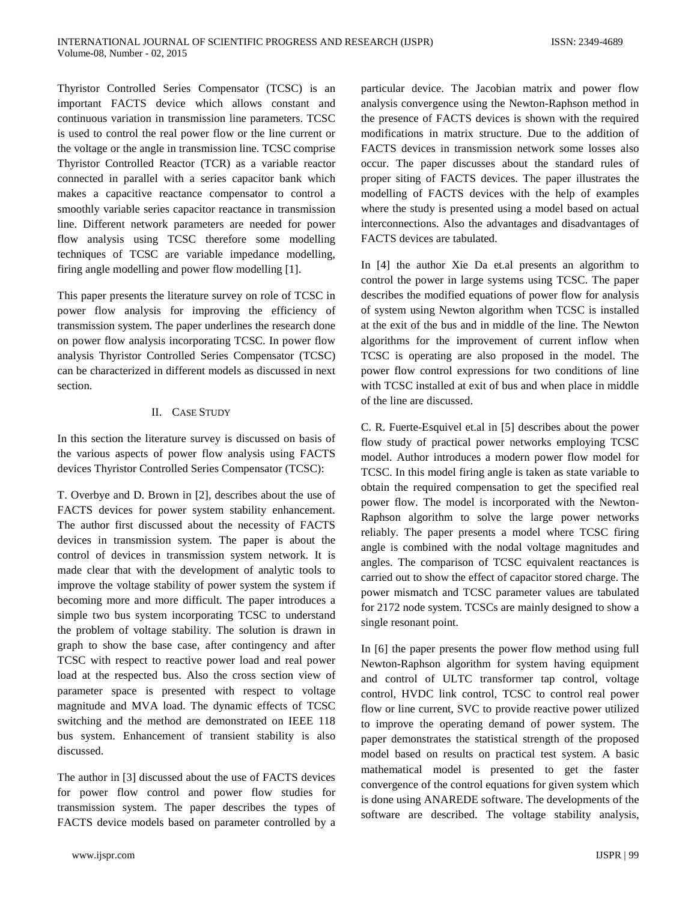Thyristor Controlled Series Compensator (TCSC) is an important FACTS device which allows constant and continuous variation in transmission line parameters. TCSC is used to control the real power flow or the line current or the voltage or the angle in transmission line. TCSC comprise Thyristor Controlled Reactor (TCR) as a variable reactor connected in parallel with a series capacitor bank which makes a capacitive reactance compensator to control a smoothly variable series capacitor reactance in transmission line. Different network parameters are needed for power flow analysis using TCSC therefore some modelling techniques of TCSC are variable impedance modelling, firing angle modelling and power flow modelling [1].

This paper presents the literature survey on role of TCSC in power flow analysis for improving the efficiency of transmission system. The paper underlines the research done on power flow analysis incorporating TCSC. In power flow analysis Thyristor Controlled Series Compensator (TCSC) can be characterized in different models as discussed in next section.

## II. CASE STUDY

In this section the literature survey is discussed on basis of the various aspects of power flow analysis using FACTS devices Thyristor Controlled Series Compensator (TCSC):

T. Overbye and D. Brown in [2], describes about the use of FACTS devices for power system stability enhancement. The author first discussed about the necessity of FACTS devices in transmission system. The paper is about the control of devices in transmission system network. It is made clear that with the development of analytic tools to improve the voltage stability of power system the system if becoming more and more difficult. The paper introduces a simple two bus system incorporating TCSC to understand the problem of voltage stability. The solution is drawn in graph to show the base case, after contingency and after TCSC with respect to reactive power load and real power load at the respected bus. Also the cross section view of parameter space is presented with respect to voltage magnitude and MVA load. The dynamic effects of TCSC switching and the method are demonstrated on IEEE 118 bus system. Enhancement of transient stability is also discussed.

The author in [3] discussed about the use of FACTS devices for power flow control and power flow studies for transmission system. The paper describes the types of FACTS device models based on parameter controlled by a

particular device. The Jacobian matrix and power flow analysis convergence using the Newton-Raphson method in the presence of FACTS devices is shown with the required modifications in matrix structure. Due to the addition of FACTS devices in transmission network some losses also occur. The paper discusses about the standard rules of proper siting of FACTS devices. The paper illustrates the modelling of FACTS devices with the help of examples where the study is presented using a model based on actual interconnections. Also the advantages and disadvantages of FACTS devices are tabulated.

In [4] the author Xie Da et.al presents an algorithm to control the power in large systems using TCSC. The paper describes the modified equations of power flow for analysis of system using Newton algorithm when TCSC is installed at the exit of the bus and in middle of the line. The Newton algorithms for the improvement of current inflow when TCSC is operating are also proposed in the model. The power flow control expressions for two conditions of line with TCSC installed at exit of bus and when place in middle of the line are discussed.

C. R. Fuerte-Esquivel et.al in [5] describes about the power flow study of practical power networks employing TCSC model. Author introduces a modern power flow model for TCSC. In this model firing angle is taken as state variable to obtain the required compensation to get the specified real power flow. The model is incorporated with the Newton-Raphson algorithm to solve the large power networks reliably. The paper presents a model where TCSC firing angle is combined with the nodal voltage magnitudes and angles. The comparison of TCSC equivalent reactances is carried out to show the effect of capacitor stored charge. The power mismatch and TCSC parameter values are tabulated for 2172 node system. TCSCs are mainly designed to show a single resonant point.

In [6] the paper presents the power flow method using full Newton-Raphson algorithm for system having equipment and control of ULTC transformer tap control, voltage control, HVDC link control, TCSC to control real power flow or line current, SVC to provide reactive power utilized to improve the operating demand of power system. The paper demonstrates the statistical strength of the proposed model based on results on practical test system. A basic mathematical model is presented to get the faster convergence of the control equations for given system which is done using ANAREDE software. The developments of the software are described. The voltage stability analysis,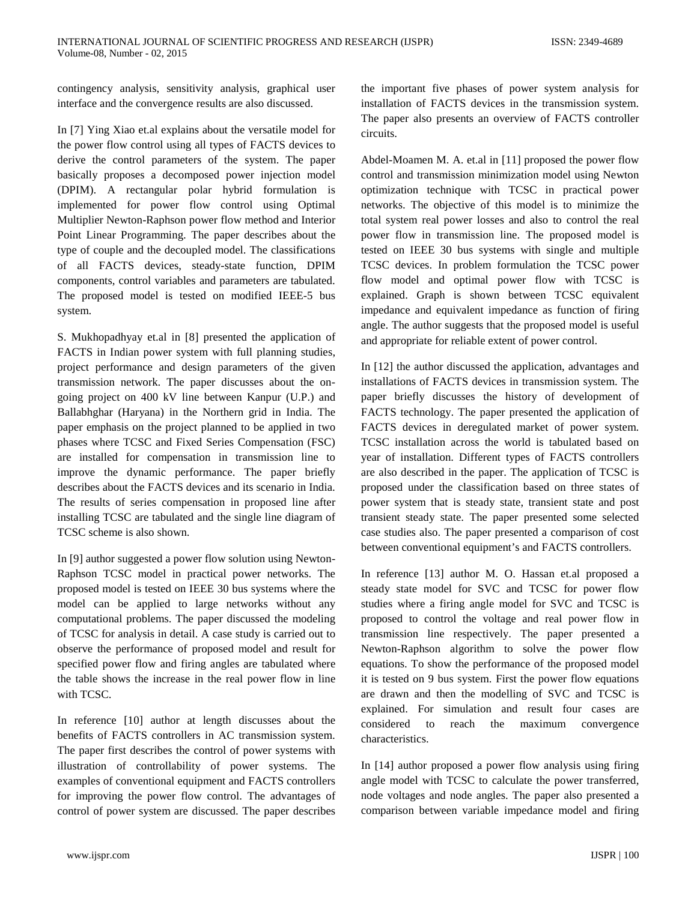contingency analysis, sensitivity analysis, graphical user interface and the convergence results are also discussed.

In [7] Ying Xiao et.al explains about the versatile model for the power flow control using all types of FACTS devices to derive the control parameters of the system. The paper basically proposes a decomposed power injection model (DPIM). A rectangular polar hybrid formulation is implemented for power flow control using Optimal Multiplier Newton-Raphson power flow method and Interior Point Linear Programming. The paper describes about the type of couple and the decoupled model. The classifications of all FACTS devices, steady-state function, DPIM components, control variables and parameters are tabulated. The proposed model is tested on modified IEEE-5 bus system.

S. Mukhopadhyay et.al in [8] presented the application of FACTS in Indian power system with full planning studies, project performance and design parameters of the given transmission network. The paper discusses about the ongoing project on 400 kV line between Kanpur (U.P.) and Ballabhghar (Haryana) in the Northern grid in India. The paper emphasis on the project planned to be applied in two phases where TCSC and Fixed Series Compensation (FSC) are installed for compensation in transmission line to improve the dynamic performance. The paper briefly describes about the FACTS devices and its scenario in India. The results of series compensation in proposed line after installing TCSC are tabulated and the single line diagram of TCSC scheme is also shown.

In [9] author suggested a power flow solution using Newton-Raphson TCSC model in practical power networks. The proposed model is tested on IEEE 30 bus systems where the model can be applied to large networks without any computational problems. The paper discussed the modeling of TCSC for analysis in detail. A case study is carried out to observe the performance of proposed model and result for specified power flow and firing angles are tabulated where the table shows the increase in the real power flow in line with TCSC.

In reference [10] author at length discusses about the benefits of FACTS controllers in AC transmission system. The paper first describes the control of power systems with illustration of controllability of power systems. The examples of conventional equipment and FACTS controllers for improving the power flow control. The advantages of control of power system are discussed. The paper describes

the important five phases of power system analysis for installation of FACTS devices in the transmission system. The paper also presents an overview of FACTS controller circuits.

Abdel-Moamen M. A. et.al in [11] proposed the power flow control and transmission minimization model using Newton optimization technique with TCSC in practical power networks. The objective of this model is to minimize the total system real power losses and also to control the real power flow in transmission line. The proposed model is tested on IEEE 30 bus systems with single and multiple TCSC devices. In problem formulation the TCSC power flow model and optimal power flow with TCSC is explained. Graph is shown between TCSC equivalent impedance and equivalent impedance as function of firing angle. The author suggests that the proposed model is useful and appropriate for reliable extent of power control.

In [12] the author discussed the application, advantages and installations of FACTS devices in transmission system. The paper briefly discusses the history of development of FACTS technology. The paper presented the application of FACTS devices in deregulated market of power system. TCSC installation across the world is tabulated based on year of installation. Different types of FACTS controllers are also described in the paper. The application of TCSC is proposed under the classification based on three states of power system that is steady state, transient state and post transient steady state. The paper presented some selected case studies also. The paper presented a comparison of cost between conventional equipment's and FACTS controllers.

In reference [13] author M. O. Hassan et.al proposed a steady state model for SVC and TCSC for power flow studies where a firing angle model for SVC and TCSC is proposed to control the voltage and real power flow in transmission line respectively. The paper presented a Newton-Raphson algorithm to solve the power flow equations. To show the performance of the proposed model it is tested on 9 bus system. First the power flow equations are drawn and then the modelling of SVC and TCSC is explained. For simulation and result four cases are considered to reach the maximum convergence characteristics.

In [14] author proposed a power flow analysis using firing angle model with TCSC to calculate the power transferred, node voltages and node angles. The paper also presented a comparison between variable impedance model and firing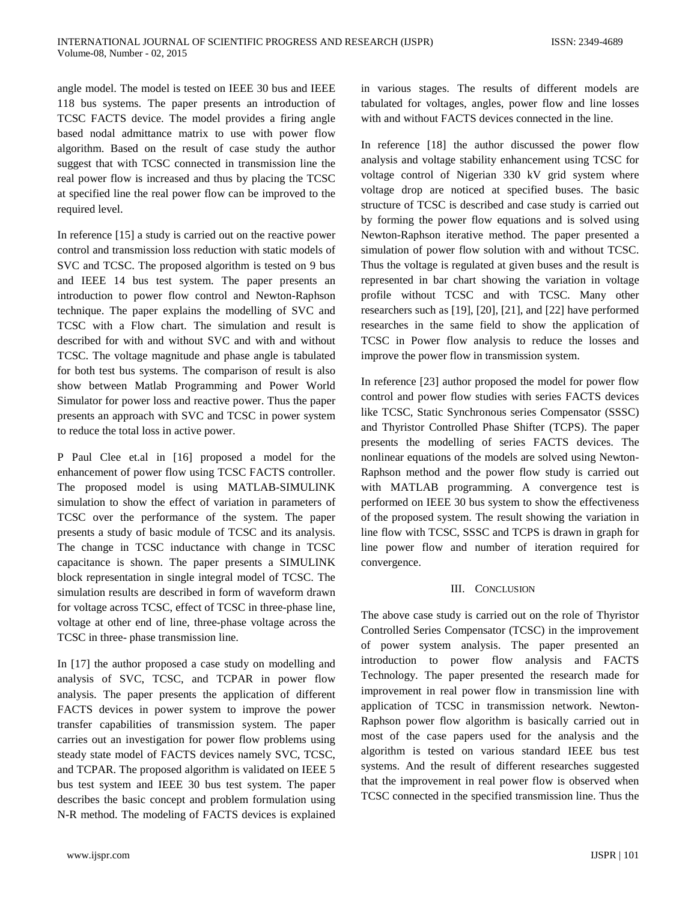angle model. The model is tested on IEEE 30 bus and IEEE 118 bus systems. The paper presents an introduction of TCSC FACTS device. The model provides a firing angle based nodal admittance matrix to use with power flow algorithm. Based on the result of case study the author suggest that with TCSC connected in transmission line the real power flow is increased and thus by placing the TCSC at specified line the real power flow can be improved to the required level.

In reference [15] a study is carried out on the reactive power control and transmission loss reduction with static models of SVC and TCSC. The proposed algorithm is tested on 9 bus and IEEE 14 bus test system. The paper presents an introduction to power flow control and Newton-Raphson technique. The paper explains the modelling of SVC and TCSC with a Flow chart. The simulation and result is described for with and without SVC and with and without TCSC. The voltage magnitude and phase angle is tabulated for both test bus systems. The comparison of result is also show between Matlab Programming and Power World Simulator for power loss and reactive power. Thus the paper presents an approach with SVC and TCSC in power system to reduce the total loss in active power.

P Paul Clee et.al in [16] proposed a model for the enhancement of power flow using TCSC FACTS controller. The proposed model is using MATLAB-SIMULINK simulation to show the effect of variation in parameters of TCSC over the performance of the system. The paper presents a study of basic module of TCSC and its analysis. The change in TCSC inductance with change in TCSC capacitance is shown. The paper presents a SIMULINK block representation in single integral model of TCSC. The simulation results are described in form of waveform drawn for voltage across TCSC, effect of TCSC in three-phase line, voltage at other end of line, three-phase voltage across the TCSC in three- phase transmission line.

In [17] the author proposed a case study on modelling and analysis of SVC, TCSC, and TCPAR in power flow analysis. The paper presents the application of different FACTS devices in power system to improve the power transfer capabilities of transmission system. The paper carries out an investigation for power flow problems using steady state model of FACTS devices namely SVC, TCSC, and TCPAR. The proposed algorithm is validated on IEEE 5 bus test system and IEEE 30 bus test system. The paper describes the basic concept and problem formulation using N-R method. The modeling of FACTS devices is explained in various stages. The results of different models are tabulated for voltages, angles, power flow and line losses with and without FACTS devices connected in the line.

In reference [18] the author discussed the power flow analysis and voltage stability enhancement using TCSC for voltage control of Nigerian 330 kV grid system where voltage drop are noticed at specified buses. The basic structure of TCSC is described and case study is carried out by forming the power flow equations and is solved using Newton-Raphson iterative method. The paper presented a simulation of power flow solution with and without TCSC. Thus the voltage is regulated at given buses and the result is represented in bar chart showing the variation in voltage profile without TCSC and with TCSC. Many other researchers such as [19], [20], [21], and [22] have performed researches in the same field to show the application of TCSC in Power flow analysis to reduce the losses and improve the power flow in transmission system.

In reference [23] author proposed the model for power flow control and power flow studies with series FACTS devices like TCSC, Static Synchronous series Compensator (SSSC) and Thyristor Controlled Phase Shifter (TCPS). The paper presents the modelling of series FACTS devices. The nonlinear equations of the models are solved using Newton-Raphson method and the power flow study is carried out with MATLAB programming. A convergence test is performed on IEEE 30 bus system to show the effectiveness of the proposed system. The result showing the variation in line flow with TCSC, SSSC and TCPS is drawn in graph for line power flow and number of iteration required for convergence.

#### III. CONCLUSION

The above case study is carried out on the role of Thyristor Controlled Series Compensator (TCSC) in the improvement of power system analysis. The paper presented an introduction to power flow analysis and FACTS Technology. The paper presented the research made for improvement in real power flow in transmission line with application of TCSC in transmission network. Newton-Raphson power flow algorithm is basically carried out in most of the case papers used for the analysis and the algorithm is tested on various standard IEEE bus test systems. And the result of different researches suggested that the improvement in real power flow is observed when TCSC connected in the specified transmission line. Thus the